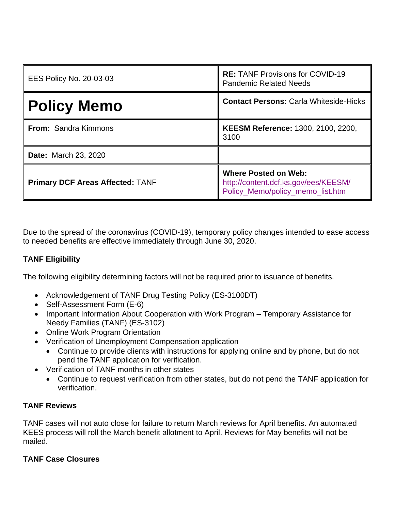| <b>EES Policy No. 20-03-03</b>          | <b>RE: TANF Provisions for COVID-19</b><br><b>Pandemic Related Needs</b>                                |
|-----------------------------------------|---------------------------------------------------------------------------------------------------------|
| <b>Policy Memo</b>                      | <b>Contact Persons: Carla Whiteside-Hicks</b>                                                           |
| <b>From: Sandra Kimmons</b>             | KEESM Reference: 1300, 2100, 2200,<br>3100                                                              |
| <b>Date: March 23, 2020</b>             |                                                                                                         |
| <b>Primary DCF Areas Affected: TANF</b> | <b>Where Posted on Web:</b><br>http://content.dcf.ks.gov/ees/KEESM/<br>Policy Memo/policy memo list.htm |

Due to the spread of the coronavirus (COVID-19), temporary policy changes intended to ease access to needed benefits are effective immediately through June 30, 2020.

## **TANF Eligibility**

The following eligibility determining factors will not be required prior to issuance of benefits.

- Acknowledgement of TANF Drug Testing Policy (ES-3100DT)
- Self-Assessment Form (E-6)
- Important Information About Cooperation with Work Program Temporary Assistance for Needy Families (TANF) (ES-3102)
- Online Work Program Orientation
- Verification of Unemployment Compensation application
	- Continue to provide clients with instructions for applying online and by phone, but do not pend the TANF application for verification.
- Verification of TANF months in other states
	- Continue to request verification from other states, but do not pend the TANF application for verification.

## **TANF Reviews**

TANF cases will not auto close for failure to return March reviews for April benefits. An automated KEES process will roll the March benefit allotment to April. Reviews for May benefits will not be mailed.

## **TANF Case Closures**